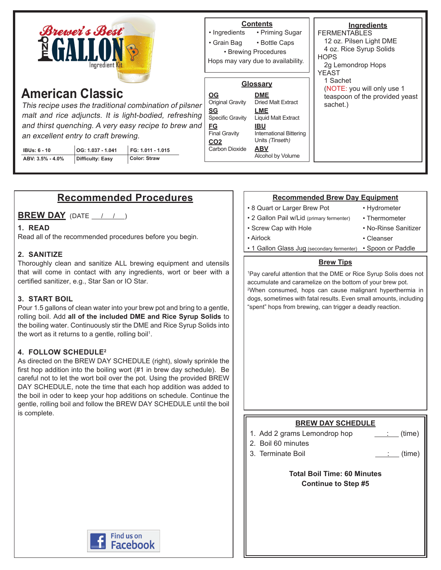

# **American Classic**

This recipe uses the traditional combination of pilsner malt and rice adjuncts. It is light-bodied, refreshing and thirst quenching. A very easy recipe to brew and an excellent entry to craft brewing.

| <b>IBUs: 6 - 10</b> | OG: 1.037 - 1.041 | FG: 1.011 - 1.015 |
|---------------------|-------------------|-------------------|
| ABV: 3.5% - 4.0%    | Difficulty: Easy  | Color: Straw      |

### **Contents**

• Priming Sugar • Ingredients

• Bottle Caps • Grain Bag

• Brewing Procedures

Hops may vary due to availability.

#### **Glossary DME** Dried Malt Extract **LME** Liquid Malt Extract **IBU** International Bittering Units (Tinseth) **ABV** Alcohol by Volume **OG** Original Gravity **SG** Specific Gravity **FG** Final Gravity **CO2 Carbon Dioxide**

**Ingredients FERMENTABLES** 12 oz. Pilsen Light DME 4 oz. Rice Syrup Solids **HOPS** 2g Lemondrop Hops YEAST 1 Sachet (NOTE: you will only use 1 teaspoon of the provided yeast sachet.)

# **Recommended Procedures**

**BREW DAY** (DATE  $\left( \begin{array}{cc} 1 & 1 \end{array} \right)$ 

### **1. READ**

Read all of the recommended procedures before you begin.

### **2. SANITIZE**

Thoroughly clean and sanitize ALL brewing equipment and utensils that will come in contact with any ingredients, wort or beer with a certified sanitizer, e.g., Star San or IO Star.

### **3. START BOIL**

Pour 1.5 gallons of clean water into your brew pot and bring to a gentle, rolling boil. Add **all of the included DME and Rice Syrup Solids** to the boiling water. Continuously stir the DME and Rice Syrup Solids into the wort as it returns to a gentle, rolling boil<sup>1</sup>.

### **4. FOLLOW SCHEDULE2**

As directed on the BREW DAY SCHEDULE (right), slowly sprinkle the first hop addition into the boiling wort (#1 in brew day schedule). Be careful not to let the wort boil over the pot. Using the provided BREW DAY SCHEDULE, note the time that each hop addition was added to the boil in oder to keep your hop additions on schedule. Continue the gentle, rolling boil and follow the BREW DAY SCHEDULE until the boil is complete.

### **Recommended Brew Day Equipment**

- 8 Quart or Larger Brew Pot
- 2 Gallon Pail w/Lid (primary fermenter)
- Screw Cap with Hole
- Airlock

• Thermometer • No-Rinse Sanitizer

• Hydrometer

- Cleanser
- 1 Gallon Glass Jug (secondary fermenter) Spoon or Paddle

### **Brew Tips**

1 Pay careful attention that the DME or Rice Syrup Solis does not accumulate and caramelize on the bottom of your brew pot. 2 When consumed, hops can cause malignant hyperthermia in dogs, sometimes with fatal results. Even small amounts, including "spent" hops from brewing, can trigger a deadly reaction.

## **BREW DAY SCHEDULE** 1. Add 2 grams Lemondrop hop  $\qquad \qquad \qquad$  (time) 2. Boil 60 minutes 3. Terminate Boil in the same state of the state of the state of the state of the state of the state of the state of the state of the state of the state of the state of the state of the state of the state of the state of t **Total Boil Time: 60 Minutes Continue to Step #5**